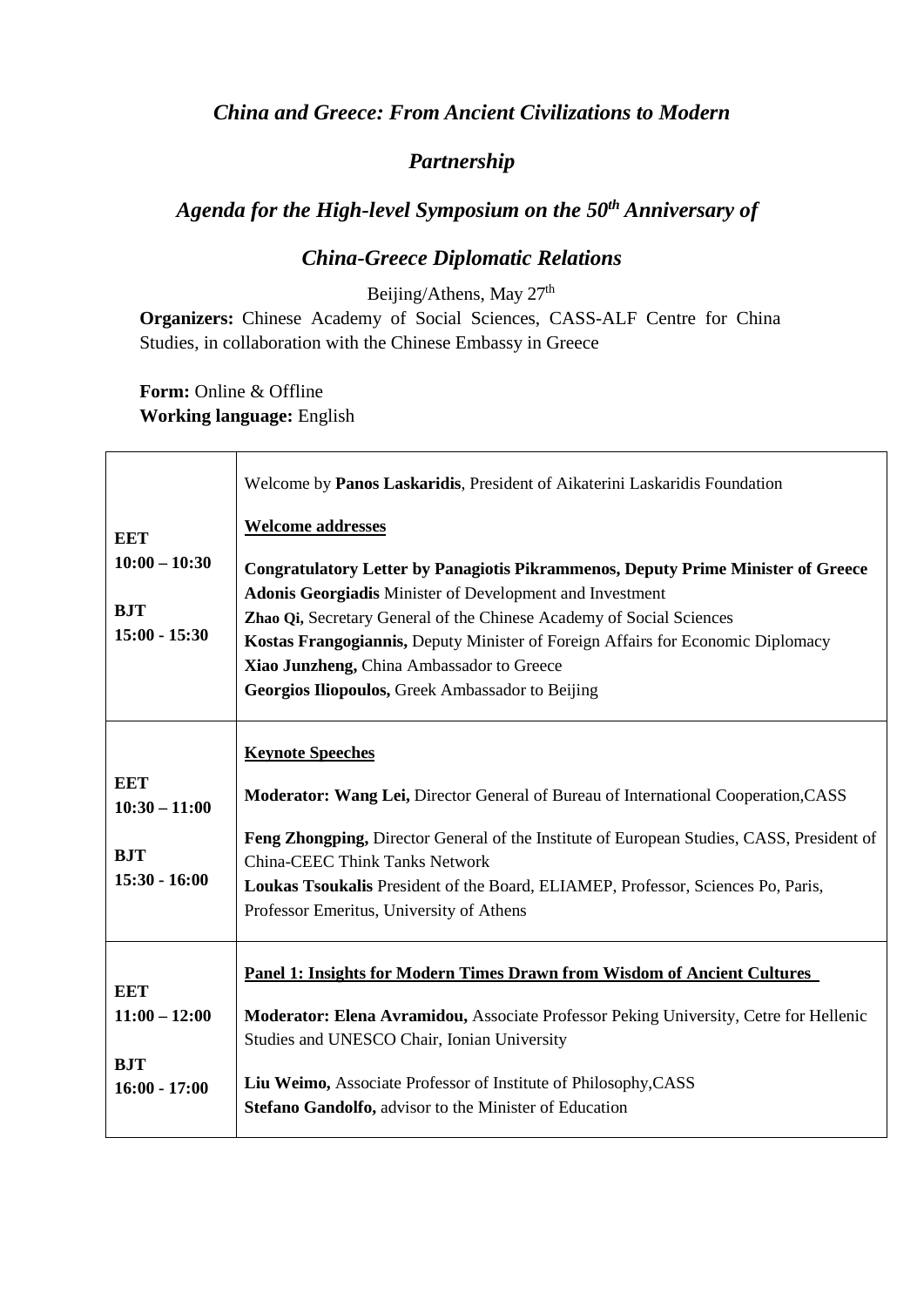## *China and Greece: From Ancient Civilizations to Modern*

## *Partnership*

## *Agenda for the High-level Symposium on the 50th Anniversary of*

## *China-Greece Diplomatic Relations*

Beijing/Athens, May 27<sup>th</sup>

**Organizers:** Chinese Academy of Social Sciences, CASS-ALF Centre for China Studies, in collaboration with the Chinese Embassy in Greece

Form: Online & Offline **Working language:** English

|                                                                | Welcome by Panos Laskaridis, President of Aikaterini Laskaridis Foundation                                                                                                                                                                                                                                                                                                                                                                         |
|----------------------------------------------------------------|----------------------------------------------------------------------------------------------------------------------------------------------------------------------------------------------------------------------------------------------------------------------------------------------------------------------------------------------------------------------------------------------------------------------------------------------------|
| EET<br>$10:00 - 10:30$<br><b>BJT</b><br>$15:00 - 15:30$        | <b>Welcome addresses</b><br><b>Congratulatory Letter by Panagiotis Pikrammenos, Deputy Prime Minister of Greece</b><br><b>Adonis Georgiadis Minister of Development and Investment</b><br>Zhao Qi, Secretary General of the Chinese Academy of Social Sciences<br>Kostas Frangogiannis, Deputy Minister of Foreign Affairs for Economic Diplomacy<br>Xiao Junzheng, China Ambassador to Greece<br>Georgios Iliopoulos, Greek Ambassador to Beijing |
| <b>EET</b><br>$10:30 - 11:00$<br><b>BJT</b><br>$15:30 - 16:00$ | <b>Keynote Speeches</b><br>Moderator: Wang Lei, Director General of Bureau of International Cooperation, CASS<br>Feng Zhongping, Director General of the Institute of European Studies, CASS, President of<br><b>China-CEEC Think Tanks Network</b><br>Loukas Tsoukalis President of the Board, ELIAMEP, Professor, Sciences Po, Paris,<br>Professor Emeritus, University of Athens                                                                |
| <b>EET</b><br>$11:00 - 12:00$<br><b>BJT</b><br>$16:00 - 17:00$ | Panel 1: Insights for Modern Times Drawn from Wisdom of Ancient Cultures<br><b>Moderator: Elena Avramidou, Associate Professor Peking University, Cetre for Hellenic</b><br>Studies and UNESCO Chair, Ionian University<br>Liu Weimo, Associate Professor of Institute of Philosophy, CASS<br>Stefano Gandolfo, advisor to the Minister of Education                                                                                               |